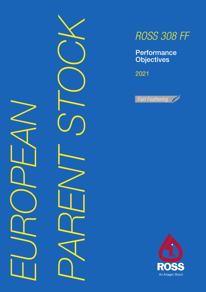





**Performance Objectives** 

2021



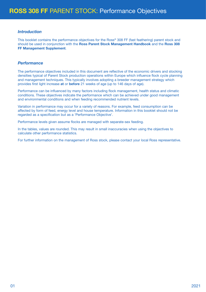## *Introduction*

This booklet contains the performance objectives for the Ross® 308 FF (fast feathering) parent stock and should be used in conjunction with the Ross Parent Stock Management Handbook and the Ross 308 FF Management Supplement.

## *Performance*

The performance objectives included in this document are reflective of the economic drivers and stocking densities typical of Parent Stock production operations within Europe which influence flock cycle planning and management techniques. This typically involves adopting a breeder management strategy which provides first light increase at or before 21 weeks of age (up to 146 days of age).

Performance can be influenced by many factors including flock management, health status and climatic conditions. These objectives indicate the performance which can be achieved under good management and environmental conditions and when feeding recommended nutrient levels.

Variation in performance may occur for a variety of reasons. For example, feed consumption can be affected by form of feed, energy level and house temperature. Information in this booklet should not be regarded as a specification but as a 'Performance Objective'.

Performance levels given assume flocks are managed with separate-sex feeding.

In the tables, values are rounded. This may result in small inaccuracies when using the objectives to calculate other performance statistics.

For further information on the management of Ross stock, please contact your local Ross representative.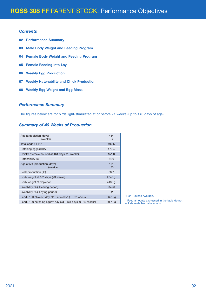## *Contents*

- 02 Performance Summary
- 03 Male Body Weight and Feeding Program
- 04 Female Body Weight and Feeding Program
- 05 Female Feeding into Lay
- 06 Weekly Egg Production
- 07 Weekly Hatchability and Chick Production
- 08 Weekly Egg Weight and Egg Mass

## *Performance Summary*

The figures below are for birds light-stimulated at or before 21 weeks (up to 146 days of age).

## *Summary of 40 Weeks of Production*

| Age at depletion (days)<br>(weeks)                           | 434<br>62 |
|--------------------------------------------------------------|-----------|
| Total eggs (HHA)*                                            | 190.5     |
| Hatching eggs (HHA)*                                         | 179.4     |
| Chicks / female housed at 161 days (23 weeks)                | 151.8     |
| Hatchability (%)                                             | 84.6      |
| Age at 5% production (days)<br>(weeks)                       | 161<br>23 |
| Peak production (%)                                          | 88.7      |
| Body weight at 161 days (23 weeks)                           | 2840 g    |
| Body weight at depletion                                     | 4180 g    |
| Liveability (%) (Rearing period)                             | $95 - 96$ |
| Liveability (%) (Laying period)                              | 92        |
| Feed / 100 chicks** day old - 434 days (0 - 62 weeks)        | 36.3 kg   |
| Feed / 100 hatching eggs** day old - 434 days (0 - 62 weeks) | 30.7 kg   |

\* Hen-Housed Average.

\*\* Feed amounts expressed in the table do not include male feed allocations.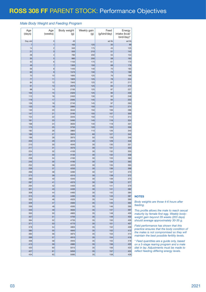### *Male Body Weight and Feeding Program*

| Age<br>(days) | Age<br>(weeks)           | Body weight<br>(g) | Weekly gain<br>(g) | Feed<br>(g/bird/day) | Energy<br>intake (kcal/<br>bird/day)* |
|---------------|--------------------------|--------------------|--------------------|----------------------|---------------------------------------|
| Day old       | $\mathbf{0}$             | 40                 |                    | ad lib               | ad lib                                |
| 7             | $\mathbf{1}$             | 165                | 125                | 35                   | 99                                    |
| 14            | $\overline{c}$           | 340                | 175                | 45                   | 125                                   |
| 21            | 3                        | 550                | 210                | 51                   | 142                                   |
| 28            | $\overline{\mathcal{L}}$ | 780                | 230                | 55                   | 154                                   |
| 35            | 5                        | 980                | 200                | 58                   | 163                                   |
| 42<br>49      | 6<br>$\overline{7}$      | 1150<br>1300       | 170<br>150         | 61<br>68             | 170<br>176                            |
| 56            | 8                        | 1440               | 140                | 70                   | 183                                   |
| 63            | 9                        | 1570               | 130                | 73                   | 189                                   |
| 70            | 10                       | 1695               | 125                | 76                   | 196                                   |
| 77            | 11                       | 1820               | 125                | 78                   | 204                                   |
| 84            | 12                       | 1945               | 125                | 81                   | 211                                   |
| 91            | 13                       | 2070               | 125                | 84                   | 219                                   |
| 98            | 14                       | 2195               | 125                | 87                   | 227                                   |
| 105<br>112    | 15<br>16                 | 2320<br>2450       | 125<br>130         | 90<br>92             | 235<br>248                            |
| 119           | 17                       | 2595               | 145                | 94                   | 253                                   |
| 126           | 18                       | 2740               | 145                | 97                   | 263                                   |
| 133           | 19                       | 2890               | 150                | 101                  | 274                                   |
| 140           | 20                       | 3040               | 150                | 106                  | 286                                   |
| 147           | 21                       | 3195               | 155                | 107                  | 300                                   |
| 154           | 22                       | 3345               | 150                | 112                  | 314                                   |
| 161           | 23                       | 3490               | 145                | 116                  | 324                                   |
| 168           | 24                       | 3630               | 140                | 118                  | 331                                   |
| 175<br>182    | 25<br>26                 | 3750<br>3860       | 120<br>110         | 120<br>126           | 336<br>340                            |
| 189           | 27                       | 3920               | 60                 | 127                  | 342                                   |
| 196           | 28                       | 3970               | 50                 | 128                  | 346                                   |
| 203           | 29                       | 4010               | 40                 | 129                  | 348                                   |
| 210           | 30                       | 4040               | 30                 | 130                  | 351                                   |
| 217           | 31                       | 4070               | 30                 | 131                  | 353                                   |
| 224           | 32                       | 4100               | 30                 | 132                  | 355                                   |
| 231           | 33                       | 4130               | 30                 | 132                  | 358                                   |
| 238<br>245    | 34<br>35                 | 4160<br>4190       | 30<br>30           | 133<br>134           | 360<br>363                            |
| 252           | 36                       | 4220               | 30                 | 135                  | 365                                   |
| 259           | 37                       | 4250               | 30                 | 136                  | 368                                   |
| 266           | 38                       | 4280               | 30                 | 137                  | 370                                   |
| 273           | 39                       | 4310               | 30                 | 138                  | 372                                   |
| 280           | 40                       | 4340               | 30                 | 139                  | 375                                   |
| 287           | 41                       | 4370               | 30                 | 139                  | 377                                   |
| 294<br>301    | 42<br>43                 | 4400<br>4430       | 30<br>30           | 141                  | 379<br>382                            |
| 308           | 44                       | 4460               | 30                 | 141<br>142           | 384                                   |
| 315           | 45                       | 4490               | 30                 | 143                  | 387                                   |
| 322           | 46                       | 4525               | 35                 | 144                  | 390                                   |
| 329           | 47                       | 4560               | 35                 | 145                  | 392                                   |
| 336           | 48                       | 4595               | 35                 | 146                  | 395                                   |
| 343           | 49                       | 4630               | 35                 | 147                  | 397                                   |
| 350           | 50                       | 4665               | 35                 | 148                  | 400                                   |
| 357           | 51                       | 4700               | 35                 | 149                  | 402                                   |
| 364<br>371    | 52<br>53                 | 4735<br>4770       | 35<br>35           | 150<br>151           | 405<br>407                            |
| 378           | 54                       | 4805               | 35                 | 152                  | 409                                   |
| 385           | 55                       | 4840               | 35                 | 152                  | 412                                   |
| 392           | 56                       | 4875               | 35                 | 153                  | 414                                   |
| 399           | 57                       | 4910               | 35                 | 154                  | 416                                   |
| 406           | 58                       | 4945               | 35                 | 155                  | 418                                   |
| 413           | 59                       | 4980               | 35                 | 156                  | 420                                   |
| 420<br>427    | 60<br>61                 | 5015<br>5050       | 35<br>35           | 156<br>157           | 422<br>424                            |
| 434           | 62                       | 5085               | 35                 | 158                  | 426                                   |
|               |                          |                    |                    |                      |                                       |

#### **NOTES**

*Body weights are those 4-6 hours after feeding.*

*This profile allows the male to reach sexual maturity by female first egg. Weekly bodyweight gain beyond 29 weeks (203 days) should average approximately 30-35 g.*

*Field performance has shown that this practice ensures that the body condition of the males is not compromised so they will maintain the best possible fertility levels.*

*\* Feed quantities are a guide only, based on a 5-stage rearing program and a male diet in lay. Adjustments must be made to reflect feeding differing energy levels.*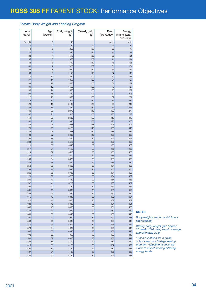### *Female Body Weight and Feeding Program*

| Age<br>(days)  | Age<br>(weeks) | Body weight<br>(g) | Weekly gain<br>(g) | Feed<br>(g/bird/day) | Energy<br>intake (kcal/<br>bird/day)* |
|----------------|----------------|--------------------|--------------------|----------------------|---------------------------------------|
| Day old        | $\mathbf 0$    | 40                 |                    | ad lib               | ad lib                                |
| $\overline{7}$ | $\mathbf{1}$   | 130                | 90                 | 23                   | 64                                    |
| 14             | $\overline{c}$ | 255                | 125                | 28                   | 77                                    |
| 21             | 3              | 385                | 130                | 32                   | 89                                    |
| 28             | 4              | 515                | 130                | 36                   | 101                                   |
| 35             | 5              | 650                | 135                | 41                   | 114                                   |
| 42             | 6              | 790                | 140                | 45                   | 125                                   |
| 49             | $\overline{7}$ | 920                | 130                | 51                   | 134                                   |
| 56             | 8              | 1040               | 120                | 55                   | 142                                   |
| 63             | 9              | 1150               | 110                | 57                   | 149                                   |
| 70             | 10             | 1250               | 100                | 61                   | 158                                   |
| 77             | 11             | 1350               | 100                | 64                   | 167                                   |
| 84             | 12             | 1450               | 100                | 68                   | 177                                   |
| 91             | 13             | 1550               | 100                | 72                   | 187                                   |
| 98             | 14             | 1650               | 100                | 76                   | 197                                   |
| 105            | 15             | 1750               | 100                | 80                   | 208                                   |
| 112            | 16             | 1855               | 105                | 82                   | 221                                   |
| 119            | 17             | 1975               | 120                | 87                   | 234                                   |
| 126            | 18             | 2100               | 125                | 92                   | 247                                   |
| 133            | 19             | 2230               | 130                | 97                   | 261                                   |
| 140            | 20             | 2370               | 140                | 103                  | 277                                   |
| 147<br>154     | 21<br>22       | 2525<br>2685       | 155<br>160         | 105<br>112           | 293<br>313                            |
| 161            | 23             | 2840               | 155                | 125                  | 350                                   |
| 168            | 24             | 2985               | 145                | 144                  | 403                                   |
| 175            | 25             | 3125               | 140                | 158                  | 443                                   |
| 182            | 26             | 3255               | 130                | 165                  | 463                                   |
| 189            | 27             | 3365               | 110                | 165                  | 463                                   |
| 196            | 28             | 3460               | 95                 | 165                  | 463                                   |
| 203            | 29             | 3510               | 50                 | 165                  | 463                                   |
| 210            | 30             | 3540               | 30                 | 165                  | 463                                   |
| 217            | 31             | 3560               | 20                 | 165                  | 463                                   |
| 224            | 32             | 3580               | 20                 | 165                  | 463                                   |
| 231            | 33             | 3600               | 20                 | 165                  | 463                                   |
| 238            | 34             | 3620               | 20                 | 165                  | 463                                   |
| 245            | 35             | 3640               | 20                 | 164                  | 460                                   |
| 252            | 36             | 3660               | 20                 | 164                  | 460                                   |
| 259            | 37             | 3680               | 20                 | 164                  | 460                                   |
| 266            | 38             | 3700               | 20                 | 164                  | 459                                   |
| 273            | 39             | 3720               | 20                 | 164                  | 459                                   |
| 280            | 40             | 3740               | 20                 | 164                  | 458                                   |
| 287            | 41             | 3760               | 20                 | 163                  | 457                                   |
| 294<br>301     | 42<br>43       | 3780<br>3800       | 20<br>20           | 163<br>163           | 456<br>456                            |
| 308            | 44             | 3820               | 20                 | 162                  | 454                                   |
| 315            | 45             | 3840               | 20                 | 162                  | 454                                   |
| 322            | 46             | 3860               | 20                 | 162                  | 452                                   |
| 329            | 47             | 3880               | 20                 | 161                  | 451                                   |
| 336            | 48             | 3900               | 20                 | 161                  | 450                                   |
| 343            | 49             | 3920               | 20                 | 160                  | 449                                   |
| 350            | 50             | 3940               | 20                 | 160                  | 448                                   |
| 357            | 51             | 3960               | 20                 | 160                  | 447                                   |
| 364            | 52             | 3980               | 20                 | 159                  | 446                                   |
| 371            | 53             | 4000               | 20                 | 159                  | 445                                   |
| 378            | 54             | 4020               | 20                 | 158                  | 444                                   |
| 385            | 55             | 4040               | 20                 | 158                  | 443                                   |
| 392            | 56             | 4060               | 20                 | 158                  | 442                                   |
| 399            | 57             | 4080               | 20                 | 158                  | 441                                   |
| 406            | 58             | 4100               | 20                 | 157                  | 440                                   |
| 413            | 59             | 4120               | 20                 | 157                  | 439                                   |
| 420            | 60             | 4140               | 20                 | 157                  | 438                                   |
| 427            | 61             | 4160               | 20                 | 156                  | 438                                   |
| 434            | 62             | 4180               | 20                 | 156                  | 437                                   |

### NOTES

*Body weights are those 4-6 hours after feeding.*

*Weekly body-weight gain beyond 30 weeks (210 days) should average approximately 20 g.*

*\* Feed quantities are a guide only, based on a 5-stage rearing program. Adjustments must be made to reflect feeding differing energy levels.*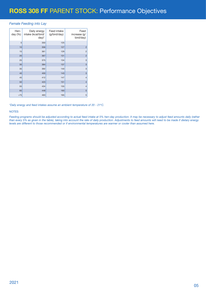### *Female Feeding into Lay*

| Hen-<br>day $(\%)$ | Daily energy<br>intake (kcal/bird/<br>$day)^*$ | Feed intake<br>(g/bird/day) | Feed<br>increase (g/<br>bird/day) |
|--------------------|------------------------------------------------|-----------------------------|-----------------------------------|
| 5                  | 350                                            | 125                         |                                   |
| 10                 | 356                                            | 127                         | $\overline{c}$                    |
| 15                 | 361                                            | 129                         | $\overline{c}$                    |
| 20                 | 367                                            | 131                         | $\overline{2}$                    |
| 25                 | 375                                            | 134                         | 3                                 |
| 30                 | 384                                            | 137                         | 3                                 |
| 35                 | 392                                            | 140                         | 3                                 |
| 40                 | 400                                            | 143                         | 3                                 |
| 45                 | 412                                            | 147                         | $\overline{4}$                    |
| 50                 | 423                                            | 151                         | $\overline{4}$                    |
| 55                 | 434                                            | 155                         | $\overline{4}$                    |
| 65                 | 448                                            | 160                         | 5                                 |
| >75                | 463                                            | 165                         | 5                                 |

*\*Daily energy and feed intakes assume an ambient temperature of 20 - 21oC.*

#### **NOTES**

*Feeding programs should be adjusted according to actual feed intake at 5% hen-day production. It may be necessary to adjust feed amounts daily (rather than every 5% as given in the table), taking into account the rate of daily production. Adjustments to feed amounts will need to be made if dietary energy levels are different to those recommended or if environmental temperatures are warmer or cooler than assumed here.*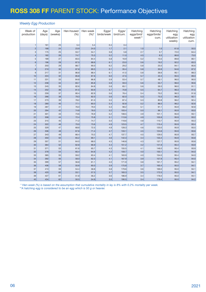### *Weekly Egg Production*

| Week of<br>production     | Age<br>(days) | Age<br>(weeks) | Hen-housed<br>(% ) | Hen-week<br>$(%)^*$ | Eggs/<br>birds/week | Eggs/<br>bird/cum. | Hatching<br>eggs/bird/<br>week** | Hatching<br>eggs/birds/<br>cum. | Hatching<br>egg<br>utilization<br>weekly | Hatching<br>egg<br>utilization<br>cum. |
|---------------------------|---------------|----------------|--------------------|---------------------|---------------------|--------------------|----------------------------------|---------------------------------|------------------------------------------|----------------------------------------|
| $\overline{1}$            | 161           | 23             | 5.4                | 5.4                 | 0.4                 | 0.4                |                                  |                                 |                                          |                                        |
| $\overline{2}$            | 168           | 24             | 23.9               | 24.0                | 1.7                 | 2.1                | 1.0                              | 1.0                             | 61.8                                     | 50.5                                   |
| $\ensuremath{\mathsf{3}}$ | 175           | 25             | 53.7               | 54.1                | 3.8                 | 5.8                | 2.7                              | 3.7                             | 72.0                                     | 64.4                                   |
| $\overline{4}$            | 182           | 26             | 74.7               | 75.3                | 5.2                 | 11.0               | 4.5                              | 8.3                             | 86.8                                     | 75.0                                   |
| $\overline{5}$            | 189           | 27             | 83.5               | 84.4                | 5.8                 | 16.9               | 5.2                              | 13.5                            | 89.8                                     | 80.1                                   |
| 6                         | 196           | 28             | 87.5               | 88.6                | 6.1                 | 23.0               | 5.6                              | 19.2                            | 92.2                                     | 83.3                                   |
| $\overline{7}$            | 203           | 29             | 88.7               | 90.0                | 6.2                 | 29.2               | 5.8                              | 25.0                            | 94.1                                     | 85.6                                   |
| $\,$ 8 $\,$               | 210           | 30             | 87.8               | 89.3                | 6.1                 | 35.4               | 5.8                              | 30.9                            | 94.6                                     | 87.2                                   |
| $\overline{9}$            | 217           | 31             | 86.8               | 88.4                | 6.1                 | 41.5               | 5.8                              | 36.6                            | 95.1                                     | 88.3                                   |
| 10                        | 224           | 32             | 85.8               | 87.6                | 6.0                 | 47.5               | 5.7                              | 42.4                            | 95.5                                     | 89.3                                   |
| 11                        | 231           | 33             | 84.8               | 86.8                | 5.9                 | 53.4               | 5.7                              | 48.1                            | 96.0                                     | 90.0                                   |
| 12                        | 238           | 34             | 83.7               | 85.8                | 5.9                 | 59.3               | 5.6                              | 53.7                            | 96.0                                     | 90.6                                   |
| 13                        | 245           | 35             | 82.6               | 84.8                | 5.8                 | 65.1               | 5.6                              | 59.3                            | 96.0                                     | 91.1                                   |
| 14                        | 252           | 36             | 81.5               | 83.9                | 5.7                 | 70.8               | 5.5                              | 64.7                            | 96.3                                     | 91.5                                   |
| 15                        | 259           | 37             | 80.4               | 82.9                | 5.6                 | 76.4               | 5.4                              | 70.2                            | 96.3                                     | 91.8                                   |
| 16                        | 266           | 38             | 79.3               | 82.0                | 5.6                 | 82.0               | 5.3                              | 75.5                            | 96.3                                     | 92.1                                   |
| 17                        | 273           | 39             | 78.2               | 81.0                | 5.5                 | 87.4               | 5.3                              | 80.8                            | 96.2                                     | 92.4                                   |
| 18                        | 280           | 40             | 77.1               | 80.0                | 5.4                 | 92.8               | 5.2                              | 86.0                            | 96.2                                     | 92.6                                   |
| 19                        | 287           | 41             | 76.0               | 79.0                | 5.3                 | 98.2               | 5.1                              | 91.1                            | 95.9                                     | 92.8                                   |
| 20                        | 294           | 42             | 74.8               | 78.0                | 5.2                 | 103.4              | 5.0                              | 96.1                            | 95.9                                     | 93.0                                   |
| 21                        | 301           | 43             | 73.6               | 76.9                | 5.2                 | 108.5              | 4.9                              | 101.1                           | 95.9                                     | 93.1                                   |
| 22                        | 308           | 44             | 72.4               | 75.8                | 5.1                 | 113.6              | 4.9                              | 105.9                           | 95.9                                     | 93.2                                   |
| 23                        | 315           | 45             | 71.2               | 74.7                | 5.0                 | 118.6              | 4.8                              | 110.7                           | 95.9                                     | 93.3                                   |
| 24                        | 322           | 46             | 70.0               | 73.6                | 4.9                 | 123.5              | 4.7                              | 115.4                           | 95.9                                     | 93.4                                   |
| 25                        | 329           | 47             | 68.8               | 72.5                | 4.8                 | 128.3              | 4.6                              | 120.0                           | 95.9                                     | 93.5                                   |
| 26                        | 336           | 48             | 67.6               | 71.4                | 4.7                 | 133.1              | 4.5                              | 124.6                           | 95.9                                     | 93.6                                   |
| 27                        | 343           | 49             | 66.4               | 70.2                | 4.7                 | 137.7              | 4.5                              | 129.0                           | 95.9<br>95.9                             | 93.7                                   |
| 28<br>29                  | 350<br>357    | 50<br>51       | 65.2<br>64.0       | 69.1<br>68.0        | 4.6                 | 142.3<br>146.8     | 4.4<br>4.3                       | 133.4<br>137.7                  | 95.9                                     | 93.8<br>93.8                           |
| 30                        | 364           | 52             | 62.8               | 66.9                | 4.5                 | 151.2              | 4.2                              | 141.9                           | 95.4                                     | 93.9                                   |
| 31                        | 371           | 53             | 61.6               | 65.7                | 4.4<br>4.3          | 155.5              | 4.1                              | 146.0                           | 95.4                                     | 93.9                                   |
| 32                        | 378           | 54             | 60.4               | 64.6                | 4.2                 | 159.7              | 4.0                              | 150.1                           | 95.4                                     | 94.0                                   |
| 33                        | 385           | 55             | 59.2               | 63.4                | 4.1                 | 163.9              | 4.0                              | 154.0                           | 95.4                                     | 94.0                                   |
| 34                        | 392           | 56             | 58.0               | 62.3                | 4.1                 | 167.9              | 3.9                              | 157.9                           | 95.4                                     | 94.0                                   |
| 35                        | 399           | 57             | 56.8               | 61.1                | 4.0                 | 171.9              | 3.8                              | 161.7                           | 95.2                                     | 94.1                                   |
| 36                        | 406           | 58             | 55.6               | 60.0                | 3.9                 | 175.8              | 3.7                              | 165.4                           | 95.0                                     | 94.1                                   |
| 37                        | 413           | 59             | 54.4               | 58.8                | 3.8                 | 179.6              | 3.6                              | 169.0                           | 95.0                                     | 94.1                                   |
| 38                        | 420           | 60             | 53.1               | 57.5                | 3.7                 | 183.3              | 3.5                              | 172.5                           | 95.0                                     | 94.1                                   |
| 39                        | 427           | 61             | 51.8               | 56.2                | 3.6                 | 186.9              | 3.4                              | 176.0                           | 95.0                                     | 94.1                                   |
| 40                        | 434           | 62             | 50.5               | 54.9                | 3.5                 | 190.5              | 3.4                              | 179.4                           | 95.0                                     | 94.2                                   |

 *\* Hen-week (%) is based on the assumption that cumulative mortality in lay is 8% with 0.2% mortality per week.*

*\*\*A hatching egg is considered to be an egg which is 50 g or heavier.*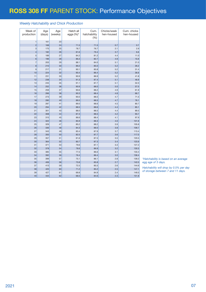### *Weekly Hatchability and Chick Production*

| Week of                  | Age    | Age     | Hatch all | Cum.                | Chicks/week | Cum. chicks |
|--------------------------|--------|---------|-----------|---------------------|-------------|-------------|
| production               | (days) | (weeks) | eggs (%)* | hatchability<br>(%) | hen-housed  | hen-housed  |
| $\mathbf{1}$             | 161    | 23      |           |                     |             |             |
| $\overline{c}$           | 168    | 24      | 71.5      | 71.5                | 0.7         | 0.7         |
| 3                        | 175    | 25      | 78.7      | 76.7                | 2.1         | 2.9         |
| $\overline{\mathcal{L}}$ | 182    | 26      | 81.6      | 79.4                | 3.7         | 6.6         |
| 5                        | 189    | 27      | 84.2      | 81.2                | 4.4         | 11.0        |
| 6                        | 196    | 28      | 86.3      | 82.7                | 4.9         | 15.9        |
| $\overline{7}$           | 203    | 29      | 88.1      | 84.0                | 5.1         | 21.0        |
| 8                        | 210    | 30      | 89.2      | 85.0                | 5.2         | 26.2        |
| 9                        | 217    | 31      | 90.1      | 85.8                | 5.2         | 31.4        |
| 10                       | 224    | 32      | 90.4      | 86.4                | 5.2         | 36.6        |
| 11                       | 231    | 33      | 90.9      | 86.9                | 5.2         | 41.8        |
| 12                       | 238    | 34      | 91.3      | 87.4                | 5.1         | 46.9        |
| 13                       | 245    | 35      | 91.1      | 87.7                | 5.1         | 52.0        |
| 14                       | 252    | 36      | 90.9      | 88.0                | 5.0         | 57.0        |
| 15                       | 259    | 37      | 90.6      | 88.2                | 4.9         | 61.9        |
| 16                       | 266    | 38      | 90.3      | 88.4                | 4.8         | 66.7        |
| 17                       | 273    | 39      | 90.0      | 88.5                | 4.7         | 71.5        |
| 18                       | 280    | 40      | 89.5      | 88.5                | 4.7         | 76.1        |
| 19                       | 287    | 41      | 89.0      | 88.6                | 4.5         | 80.7        |
| 20                       | 294    | 42      | 88.5      | 88.6                | 4.4         | 85.1        |
| 21                       | 301    | 43      | 88.0      | 88.5                | 4.4         | 89.5        |
| 22                       | 308    | 44      | 87.3      | 88.5                | 4.2         | 93.7        |
| 23                       | 315    | 45      | 86.6      | 88.4                | 4.1         | 97.9        |
| 24                       | 322    | 46      | 85.9      | 88.3                | 4.0         | 101.9       |
| 25                       | 329    | 47      | 85.2      | 88.2                | 3.9         | 105.8       |
| 26                       | 336    | 48      | 84.3      | 88.0                | 3.8         | 109.7       |
| 27                       | 343    | 49      | 83.4      | 87.9                | 3.7         | 113.4       |
| 28                       | 350    | 50      | 82.5      | 87.7                | 3.6         | 117.0       |
| 29                       | 357    | 51      | 81.6      | 87.5                | 3.5         | 120.5       |
| 30                       | 364    | 52      | 80.7      | 87.3                | 3.4         | 123.9       |
| 31                       | 371    | 53      | 79.6      | 87.1                | 3.3         | 127.2       |
| 32                       | 378    | 54      | 78.6      | 86.9                | 3.2         | 130.3       |
| 33                       | 385    | 55      | 77.5      | 86.6                | 3.1         | 133.4       |
| 34                       | 392    | 56      | 76.4      | 86.4                | 3.0         | 136.4       |
| 35                       | 399    | 57      | 75.1      | 86.1                | 2.8         | 139.2       |
| 36                       | 406    | 58      | 73.8      | 85.8                | 2.7         | 142.0       |
| 37                       | 413    | 59      | 72.5      | 85.5                | 2.6         | 144.6       |
| 38                       | 420    | 60      | 71.2      | 85.2                | 2.5         | 147.1       |
| 39                       | 427    | 61      | 69.8      | 84.9                | 2.4         | 149.5       |
| 40                       | 434    | 62      | 68.5      | 84.6                | 2.3         | 151.8       |

*\*Hatchability is based on an average egg age of 3 days.* 

*Hatchability will drop by 0.5% per day of storage between 7 and 11 days.*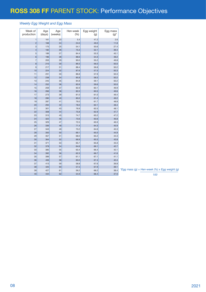## *Weekly Egg Weight and Egg Mass*

| Week of<br>production    | Age<br>(days) | Age<br>(weeks) | Hen-week<br>(%) | Egg weight<br>(g) | Egg mass<br>$(g)^*$ |
|--------------------------|---------------|----------------|-----------------|-------------------|---------------------|
| $\mathbf{1}$             | 161           | 23             | 5.4             | 47.2              | 2.6                 |
| $\overline{c}$           | 168           | 24             | 24.0            | 49.0              | 11.8                |
| 3                        | 175           | 25             | 54.1            | 50.6              | 27.4                |
| $\overline{\mathcal{A}}$ | 182           | 26             | 75.3            | 52.1              | 39.4                |
| 5                        | 189           | 27             | 84.4            | 53.3              | 45.1                |
| $6\phantom{a}$           | 196           | 28             | 88.6            | 54.3              | 48.2                |
| $\overline{7}$           | 203           | 29             | 90.0            | 55.2              | 49.8                |
| 8                        | 210           | 30             | 89.3            | 56.0              | 50.0                |
| 9                        | 217           | 31             | 88.4            | 56.8              | 50.2                |
| 10                       | 224           | 32             | 87.6            | 57.5              | 50.3                |
| 11                       | 231           | 33             | 86.8            | 57.9              | 50.3                |
| 12                       | 238           | 34             | 85.8            | 58.5              | 50.2                |
| 13                       | 245           | 35             | 84.8            | 59.1              | 50.2                |
| 14                       | 252           | 36             | 83.9            | 59.6              | 50.0                |
| 15                       | 259           | 37             | 82.9            | 60.1              | 49.9                |
| 16                       | 266           | 38             | 82.0            | 60.5              | 49.6                |
| 17                       | 273           | 39             | 81.0            | 61.0              | 49.4                |
| 18                       | 280           | 40             | 80.0            | 61.4              | 49.2                |
| 19                       | 287           | 41             | 79.0            | 61.7              | 48.8                |
| 20                       | 294           | 42             | 78.0            | 62.1              | 48.4                |
| 21                       | 301           | 43             | 76.9            | 62.5              | 48.1                |
| 22                       | 308           | 44             | 75.8            | 62.9              | 47.7                |
| 23                       | 315           | 45             | 74.7            | 63.2              | 47.2                |
| 24                       | 322           | 46             | 73.6            | 63.6              | 46.8                |
| 25                       | 329           | 47             | 72.5            | 63.9              | 46.3                |
| 26                       | 336           | 48             | 71.4            | 64.3              | 45.9                |
| 27                       | 343           | 49             | 70.2            | 64.6              | 45.3                |
| 28                       | 350           | 50             | 69.1            | 65.0              | 44.9                |
| 29                       | 357           | 51             | 68.0            | 65.2              | 44.3                |
| 30                       | 364           | 52             | 66.9            | 65.5              | 43.8                |
| 31                       | 371           | 53             | 65.7            | 65.8              | 43.3                |
| 32                       | 378           | 54             | 64.6            | 66.1              | 42.7                |
| 33                       | 385           | 55             | 63.4            | 66.4              | 42.1                |
| 34                       | 392           | 56             | 62.3            | 66.7              | 41.6                |
| 35                       | 399           | 57             | 61.1            | 67.1              | 41.1                |
| 36                       | 406           | 58             | 60.0            | 67.4              | 40.4                |
| 37                       | 413           | 59             | 58.8            | 67.6              | 39.8                |
| 38                       | 420           | 60             | 57.5            | 67.9              | 39.1                |
| 39                       | 427           | 61             | 56.2            | 68.2              | 38.4                |
| 40                       | 434           | 62             | 54.9            | 68.4              | 37.6                |

*\*Egg mass (g) = Hen-week (%) x Egg weight (g)*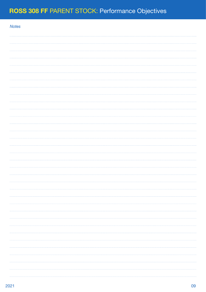| <b>Notes</b> |  |
|--------------|--|
|              |  |
|              |  |
|              |  |
|              |  |
|              |  |
|              |  |
|              |  |
|              |  |
|              |  |
|              |  |
|              |  |
|              |  |
|              |  |
|              |  |
|              |  |
|              |  |
|              |  |
|              |  |
|              |  |
|              |  |
|              |  |
|              |  |
|              |  |
|              |  |
|              |  |
|              |  |
|              |  |
|              |  |
|              |  |
|              |  |
|              |  |
|              |  |
|              |  |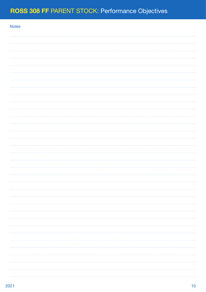| <b>Notes</b> |  |
|--------------|--|
|              |  |
|              |  |
|              |  |
|              |  |
|              |  |
|              |  |
|              |  |
|              |  |
|              |  |
|              |  |
|              |  |
|              |  |
|              |  |
|              |  |
|              |  |
|              |  |
|              |  |
|              |  |
|              |  |
|              |  |
|              |  |
|              |  |
|              |  |
|              |  |
|              |  |
|              |  |
|              |  |
|              |  |
|              |  |
|              |  |
|              |  |
|              |  |
|              |  |